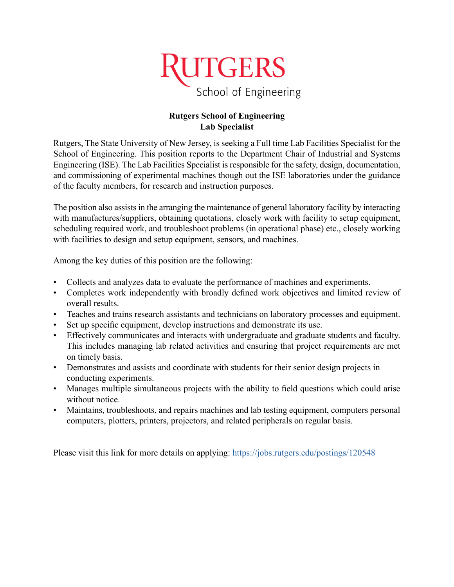

## **Rutgers School of Engineering Lab Specialist**

Rutgers, The State University of New Jersey, is seeking a Full time Lab Facilities Specialist for the School of Engineering. This position reports to the Department Chair of Industrial and Systems Engineering (ISE). The Lab Facilities Specialist is responsible for the safety, design, documentation, and commissioning of experimental machines though out the ISE laboratories under the guidance of the faculty members, for research and instruction purposes.

The position also assists in the arranging the maintenance of general laboratory facility by interacting with manufactures/suppliers, obtaining quotations, closely work with facility to setup equipment, scheduling required work, and troubleshoot problems (in operational phase) etc., closely working with facilities to design and setup equipment, sensors, and machines.

Among the key duties of this position are the following:

- Collects and analyzes data to evaluate the performance of machines and experiments.
- Completes work independently with broadly defined work objectives and limited review of overall results.
- Teaches and trains research assistants and technicians on laboratory processes and equipment.
- Set up specific equipment, develop instructions and demonstrate its use.
- Effectively communicates and interacts with undergraduate and graduate students and faculty. This includes managing lab related activities and ensuring that project requirements are met on timely basis.
- Demonstrates and assists and coordinate with students for their senior design projects in conducting experiments.
- Manages multiple simultaneous projects with the ability to field questions which could arise without notice.
- Maintains, troubleshoots, and repairs machines and lab testing equipment, computers personal computers, plotters, printers, projectors, and related peripherals on regular basis.

Please visit this link for more details on applying: <https://jobs.rutgers.edu/postings/120548>